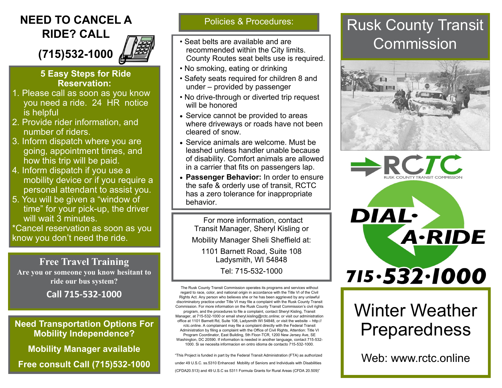### **NEED TO CANCEL A** Policies & Procedures: **RIDE? CALL**

**(715)532-1000**

#### **5 Easy Steps for Ride Reservation:**

- 1. Please call as soon as you know you need a ride. 24 HR notice is helpful
- 2. Provide rider information, and number of riders.
- 3. Inform dispatch where you are going, appointment times, and how this trip will be paid.
- 4. Inform dispatch if you use a mobility device or if you require a personal attendant to assist you.
- 5. You will be given a "window of time" for your pick-up, the driver will wait 3 minutes.

\*Cancel reservation as soon as you know you don't need the ride.

**Free Travel Training Are you or someone you know hesitant to ride our bus system?**

**Call 715-532-1000** 

**Need Transportation Options For Mobility Independence?**

**Mobility Manager available**

**Free consult Call (715)532-1000**

- Seat belts are available and are recommended within the City limits. County Routes seat belts use is required.
- No smoking, eating or drinking
- Safety seats required for children 8 and under – provided by passenger
- No drive-through or diverted trip request will be honored
- Service cannot be provided to areas where driveways or roads have not been cleared of snow.
- Service animals are welcome. Must be leashed unless handler unable because of disability. Comfort animals are allowed in a carrier that fits on passengers lap.
- **Passenger Behavior:** In order to ensure the safe & orderly use of transit, RCTC has a zero tolerance for inappropriate behavior.

For more information, contact Transit Manager, Sheryl Kisling or Mobility Manager Sheli Sheffield at: 1101 Barnett Road, Suite 108 Ladysmith, WI 54848 Tel: 715-532-1000

The Rusk County Transit Commission operates its programs and services without regard to race, color, and national origin in accordance with the Title VI of the Civil Rights Act. Any person who believes she or he has been aggrieved by any unlawful discriminatory practice under Title VI may file a complaint with the Rusk County Transit Commission. For more information on the Rusk County Transit Commission's civil rights program, and the procedures to file a complaint, contact Sheryl Kisling, Transit Manager, at 715-532-1000 or email sheryl.kisling@rctc.online; or visit our administration office at 1101 Barnett Rd, Suite 108, Ladysmith WI 54848, or visit the website – http:// rctc.online. A complainant may file a complaint directly with the Federal Transit Administration by filing a complaint with the Office of Civil Rights, Attention: Title VI Program Coordinator, East Building, 5th Floor-TCR, 1200 New Jersey Ave, SE Washington, DC 20590. If information is needed in another language, contact 715-532- 1000. Si se necesita informacion en ontro idioma de contacto 715-532-1000.

"This Project is funded in part by the Federal Transit Administration (FTA) as authorized under 49 U.S.C. ss.5310 Enhanced Mobility of Seniors and Individuals with Disabilities (CFDA20.513) and 49 U.S.C ss 5311 Formula Grants for Rural Areas (CFDA 20.509)"

# Rusk County Transit Commission







# Winter Weather Preparedness

Web: www.rctc.online